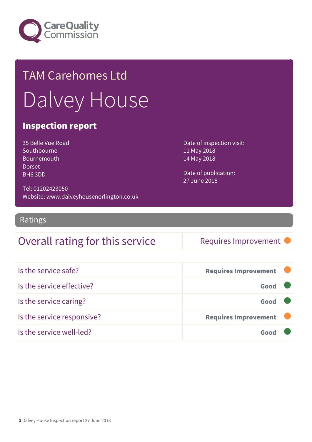

# TAM Carehomes Ltd Dalvey House

#### Inspection report

35 Belle Vue Road Southbourne Bournemouth Dorset BH6 3DD

Date of inspection visit: 11 May 2018 14 May 2018

Date of publication: 27 June 2018

Tel: 01202423050 Website: www.dalveyhousenorlington.co.uk

Ratings

#### Overall rating for this service Requires Improvement

| Is the service safe?       | <b>Requires Improvement</b> |  |
|----------------------------|-----------------------------|--|
| Is the service effective?  | Good                        |  |
| Is the service caring?     | Good                        |  |
| Is the service responsive? | <b>Requires Improvement</b> |  |
| Is the service well-led?   |                             |  |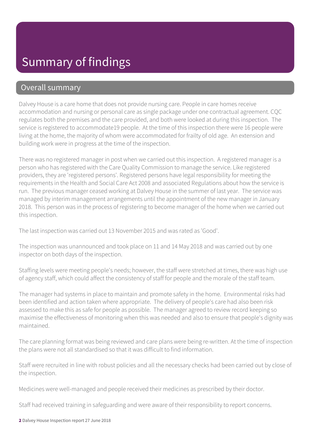#### Overall summary

Dalvey House is a care home that does not provide nursing care. People in care homes receive accommodation and nursing or personal care as single package under one contractual agreement. CQC regulates both the premises and the care provided, and both were looked at during this inspection. The service is registered to accommodate19 people. At the time of this inspection there were 16 people were living at the home, the majority of whom were accommodated for frailty of old age. An extension and building work were in progress at the time of the inspection.

There was no registered manager in post when we carried out this inspection. A registered manager is a person who has registered with the Care Quality Commission to manage the service. Like registered providers, they are 'registered persons'. Registered persons have legal responsibility for meeting the requirements in the Health and Social Care Act 2008 and associated Regulations about how the service is run. The previous manager ceased working at Dalvey House in the summer of last year. The service was managed by interim management arrangements until the appointment of the new manager in January 2018. This person was in the process of registering to become manager of the home when we carried out this inspection.

The last inspection was carried out 13 November 2015 and was rated as 'Good'.

The inspection was unannounced and took place on 11 and 14 May 2018 and was carried out by one inspector on both days of the inspection.

Staffing levels were meeting people's needs; however, the staff were stretched at times, there was high use of agency staff, which could affect the consistency of staff for people and the morale of the staff team.

The manager had systems in place to maintain and promote safety in the home. Environmental risks had been identified and action taken where appropriate. The delivery of people's care had also been risk assessed to make this as safe for people as possible. The manager agreed to review record keeping so maximise the effectiveness of monitoring when this was needed and also to ensure that people's dignity was maintained.

The care planning format was being reviewed and care plans were being re-written. At the time of inspection the plans were not all standardised so that it was difficult to find information.

Staff were recruited in line with robust policies and all the necessary checks had been carried out by close of the inspection.

Medicines were well-managed and people received their medicines as prescribed by their doctor.

Staff had received training in safeguarding and were aware of their responsibility to report concerns.

2 Dalvey House Inspection report 27 June 2018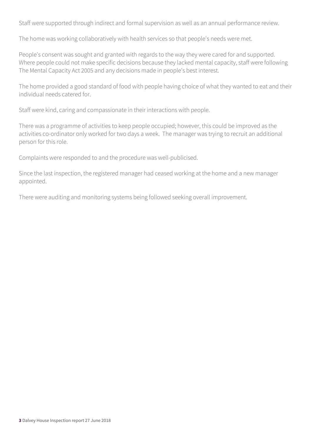Staff were supported through indirect and formal supervision as well as an annual performance review.

The home was working collaboratively with health services so that people's needs were met.

People's consent was sought and granted with regards to the way they were cared for and supported. Where people could not make specific decisions because they lacked mental capacity, staff were following The Mental Capacity Act 2005 and any decisions made in people's best interest.

The home provided a good standard of food with people having choice of what they wanted to eat and their individual needs catered for.

Staff were kind, caring and compassionate in their interactions with people.

There was a programme of activities to keep people occupied; however, this could be improved as the activities co-ordinator only worked for two days a week. The manager was trying to recruit an additional person for this role.

Complaints were responded to and the procedure was well-publicised.

Since the last inspection, the registered manager had ceased working at the home and a new manager appointed.

There were auditing and monitoring systems being followed seeking overall improvement.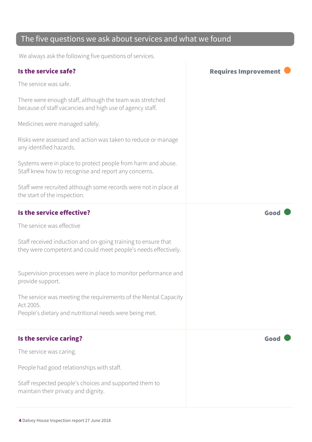#### The five questions we ask about services and what we found

We always ask the following five questions of services.

| Is the service safe?                                                                                                            | <b>Requires Improvement</b> |
|---------------------------------------------------------------------------------------------------------------------------------|-----------------------------|
| The service was safe.                                                                                                           |                             |
| There were enough staff, although the team was stretched<br>because of staff vacancies and high use of agency staff.            |                             |
| Medicines were managed safely.                                                                                                  |                             |
| Risks were assessed and action was taken to reduce or manage<br>any identified hazards.                                         |                             |
| Systems were in place to protect people from harm and abuse.<br>Staff knew how to recognise and report any concerns.            |                             |
| Staff were recruited although some records were not in place at<br>the start of the inspection.                                 |                             |
| Is the service effective?                                                                                                       | Good                        |
| The service was effective                                                                                                       |                             |
| Staff received induction and on-going training to ensure that<br>they were competent and could meet people's needs effectively. |                             |
| Supervision processes were in place to monitor performance and<br>provide support.                                              |                             |
| The service was meeting the requirements of the Mental Capacity<br>Act 2005.                                                    |                             |
| People's dietary and nutritional needs were being met.                                                                          |                             |
| Is the service caring?                                                                                                          | Good                        |
| The service was caring.                                                                                                         |                             |
| People had good relationships with staff.                                                                                       |                             |
| Staff respected people's choices and supported them to<br>maintain their privacy and dignity.                                   |                             |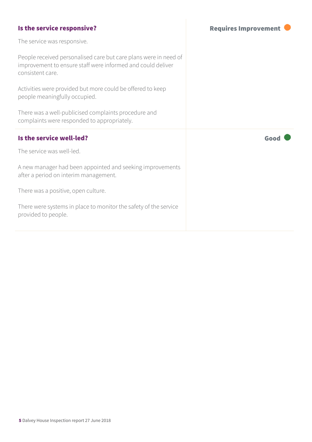| Is the service responsive?                                                                                                                          | <b>Requires Improvement</b> |
|-----------------------------------------------------------------------------------------------------------------------------------------------------|-----------------------------|
| The service was responsive.                                                                                                                         |                             |
| People received personalised care but care plans were in need of<br>improvement to ensure staff were informed and could deliver<br>consistent care. |                             |
| Activities were provided but more could be offered to keep<br>people meaningfully occupied.                                                         |                             |
| There was a well-publicised complaints procedure and<br>complaints were responded to appropriately.                                                 |                             |
| Is the service well-led?                                                                                                                            | Good                        |
| The service was well-led.                                                                                                                           |                             |
| A new manager had been appointed and seeking improvements<br>after a period on interim management.                                                  |                             |
| There was a positive, open culture.                                                                                                                 |                             |
| There were systems in place to monitor the safety of the service<br>provided to people.                                                             |                             |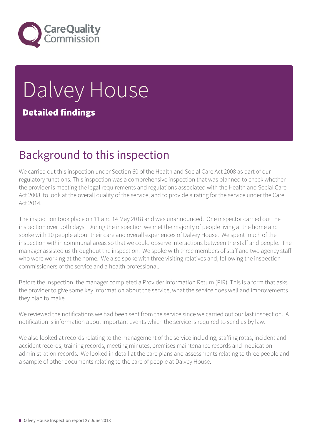

# Dalvey House Detailed findings

## Background to this inspection

We carried out this inspection under Section 60 of the Health and Social Care Act 2008 as part of our regulatory functions. This inspection was a comprehensive inspection that was planned to check whether the provider is meeting the legal requirements and regulations associated with the Health and Social Care Act 2008, to look at the overall quality of the service, and to provide a rating for the service under the Care Act 2014.

The inspection took place on 11 and 14 May 2018 and was unannounced. One inspector carried out the inspection over both days. During the inspection we met the majority of people living at the home and spoke with 10 people about their care and overall experiences of Dalvey House. We spent much of the inspection within communal areas so that we could observe interactions between the staff and people. The manager assisted us throughout the inspection. We spoke with three members of staff and two agency staff who were working at the home. We also spoke with three visiting relatives and, following the inspection commissioners of the service and a health professional.

Before the inspection, the manager completed a Provider Information Return (PIR). This is a form that asks the provider to give some key information about the service, what the service does well and improvements they plan to make.

We reviewed the notifications we had been sent from the service since we carried out our last inspection. A notification is information about important events which the service is required to send us by law.

We also looked at records relating to the management of the service including; staffing rotas, incident and accident records, training records, meeting minutes, premises maintenance records and medication administration records. We looked in detail at the care plans and assessments relating to three people and a sample of other documents relating to the care of people at Dalvey House.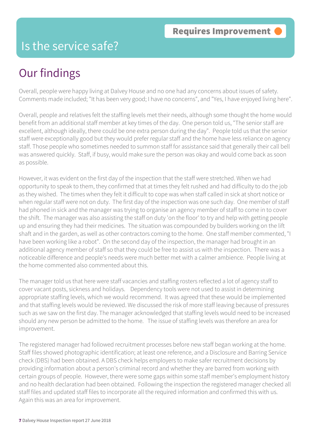### Is the service safe?

# Our findings

Overall, people were happy living at Dalvey House and no one had any concerns about issues of safety. Comments made included; "It has been very good; I have no concerns", and "Yes, I have enjoyed living here".

Overall, people and relatives felt the staffing levels met their needs, although some thought the home would benefit from an additional staff member at key times of the day. One person told us, "The senior staff are excellent, although ideally, there could be one extra person during the day". People told us that the senior staff were exceptionally good but they would prefer regular staff and the home have less reliance on agency staff. Those people who sometimes needed to summon staff for assistance said that generally their call bell was answered quickly. Staff, if busy, would make sure the person was okay and would come back as soon as possible.

However, it was evident on the first day of the inspection that the staff were stretched. When we had opportunity to speak to them, they confirmed that at times they felt rushed and had difficulty to do the job as they wished. The times when they felt it difficult to cope was when staff called in sick at short notice or when regular staff were not on duty. The first day of the inspection was one such day. One member of staff had phoned in sick and the manager was trying to organise an agency member of staff to come in to cover the shift. The manager was also assisting the staff on duty 'on the floor' to try and help with getting people up and ensuring they had their medicines. The situation was compounded by builders working on the lift shaft and in the garden, as well as other contractors coming to the home. One staff member commented, "I have been working like a robot". On the second day of the inspection, the manager had brought in an additional agency member of staff so that they could be free to assist us with the inspection. There was a noticeable difference and people's needs were much better met with a calmer ambience. People living at the home commented also commented about this.

The manager told us that here were staff vacancies and staffing rosters reflected a lot of agency staff to cover vacant posts, sickness and holidays. Dependency tools were not used to assist in determining appropriate staffing levels, which we would recommend. It was agreed that these would be implemented and that staffing levels would be reviewed. We discussed the risk of more staff leaving because of pressures such as we saw on the first day. The manager acknowledged that staffing levels would need to be increased should any new person be admitted to the home. The issue of staffing levels was therefore an area for improvement.

The registered manager had followed recruitment processes before new staff began working at the home. Staff files showed photographic identification; at least one reference, and a Disclosure and Barring Service check (DBS) had been obtained. A DBS check helps employers to make safer recruitment decisions by providing information about a person's criminal record and whether they are barred from working with certain groups of people. However, there were some gaps within some staff member's employment history and no health declaration had been obtained. Following the inspection the registered manager checked all staff files and updated staff files to incorporate all the required information and confirmed this with us. Again this was an area for improvement.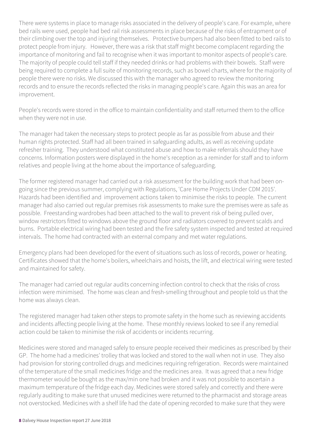There were systems in place to manage risks associated in the delivery of people's care. For example, where bed rails were used, people had bed rail risk assessments in place because of the risks of entrapment or of their climbing over the top and injuring themselves. Protective bumpers had also been fitted to bed rails to protect people from injury. However, there was a risk that staff might become complacent regarding the importance of monitoring and fail to recognise when it was important to monitor aspects of people's care. The majority of people could tell staff if they needed drinks or had problems with their bowels. Staff were being required to complete a full suite of monitoring records, such as bowel charts, where for the majority of people there were no risks. We discussed this with the manager who agreed to review the monitoring records and to ensure the records reflected the risks in managing people's care. Again this was an area for improvement.

People's records were stored in the office to maintain confidentiality and staff returned them to the office when they were not in use.

The manager had taken the necessary steps to protect people as far as possible from abuse and their human rights protected. Staff had all been trained in safeguarding adults, as well as receiving update refresher training. They understood what constituted abuse and how to make referrals should they have concerns. Information posters were displayed in the home's reception as a reminder for staff and to inform relatives and people living at the home about the importance of safeguarding.

The former registered manager had carried out a risk assessment for the building work that had been ongoing since the previous summer, complying with Regulations, 'Care Home Projects Under CDM 2015'. Hazards had been identified and improvement actions taken to minimise the risks to people. The current manager had also carried out regular premises risk assessments to make sure the premises were as safe as possible. Freestanding wardrobes had been attached to the wall to prevent risk of being pulled over, window restrictors fitted to windows above the ground floor and radiators covered to prevent scalds and burns. Portable electrical wiring had been tested and the fire safety system inspected and tested at required intervals. The home had contracted with an external company and met water regulations.

Emergency plans had been developed for the event of situations such as loss of records, power or heating. Certificates showed that the home's boilers, wheelchairs and hoists, the lift, and electrical wiring were tested and maintained for safety.

The manager had carried out regular audits concerning infection control to check that the risks of cross infection were minimised. The home was clean and fresh-smelling throughout and people told us that the home was always clean.

The registered manager had taken other steps to promote safety in the home such as reviewing accidents and incidents affecting people living at the home. These monthly reviews looked to see if any remedial action could be taken to minimise the risk of accidents or incidents recurring.

Medicines were stored and managed safely to ensure people received their medicines as prescribed by their GP. The home had a medicines' trolley that was locked and stored to the wall when not in use. They also had provision for storing controlled drugs and medicines requiring refrigeration. Records were maintained of the temperature of the small medicines fridge and the medicines area. It was agreed that a new fridge thermometer would be bought as the max/min one had broken and it was not possible to ascertain a maximum temperature of the fridge each day. Medicines were stored safely and correctly and there were regularly auditing to make sure that unused medicines were returned to the pharmacist and storage areas not overstocked. Medicines with a shelf life had the date of opening recorded to make sure that they were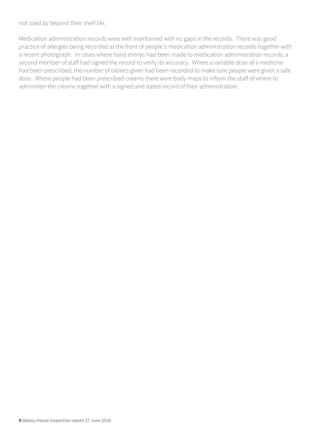not used by beyond their shelf life.

Medication administration records were well maintained with no gaps in the records. There was good practice of allergies being recorded at the front of people's medication administration records together with a recent photograph. In cases where hand entries had been made to medication administration records, a second member of staff had signed the record to verify its accuracy. Where a variable dose of a medicine had been prescribed, the number of tablets given had been recorded to make sure people were given a safe dose. Where people had been prescribed creams there were body maps to inform the staff of where to administer the creams together with a signed and dated record of their administration.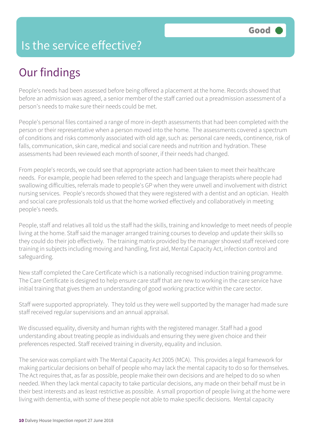### Is the service effective?

# Our findings

People's needs had been assessed before being offered a placement at the home. Records showed that before an admission was agreed, a senior member of the staff carried out a preadmission assessment of a person's needs to make sure their needs could be met.

People's personal files contained a range of more in-depth assessments that had been completed with the person or their representative when a person moved into the home. The assessments covered a spectrum of conditions and risks commonly associated with old age, such as: personal care needs, continence, risk of falls, communication, skin care, medical and social care needs and nutrition and hydration. These assessments had been reviewed each month of sooner, if their needs had changed.

From people's records, we could see that appropriate action had been taken to meet their healthcare needs. For example, people had been referred to the speech and language therapists where people had swallowing difficulties, referrals made to people's GP when they were unwell and involvement with district nursing services. People's records showed that they were registered with a dentist and an optician. Health and social care professionals told us that the home worked effectively and collaboratively in meeting people's needs.

People, staff and relatives all told us the staff had the skills, training and knowledge to meet needs of people living at the home. Staff said the manager arranged training courses to develop and update their skills so they could do their job effectively. The training matrix provided by the manager showed staff received core training in subjects including moving and handling, first aid, Mental Capacity Act, infection control and safeguarding.

New staff completed the Care Certificate which is a nationally recognised induction training programme. The Care Certificate is designed to help ensure care staff that are new to working in the care service have initial training that gives them an understanding of good working practice within the care sector.

Staff were supported appropriately. They told us they were well supported by the manager had made sure staff received regular supervisions and an annual appraisal.

We discussed equality, diversity and human rights with the registered manager. Staff had a good understanding about treating people as individuals and ensuring they were given choice and their preferences respected. Staff received training in diversity, equality and inclusion.

The service was compliant with The Mental Capacity Act 2005 (MCA). This provides a legal framework for making particular decisions on behalf of people who may lack the mental capacity to do so for themselves. The Act requires that, as far as possible, people make their own decisions and are helped to do so when needed. When they lack mental capacity to take particular decisions, any made on their behalf must be in their best interests and as least restrictive as possible. A small proportion of people living at the home were living with dementia, with some of these people not able to make specific decisions. Mental capacity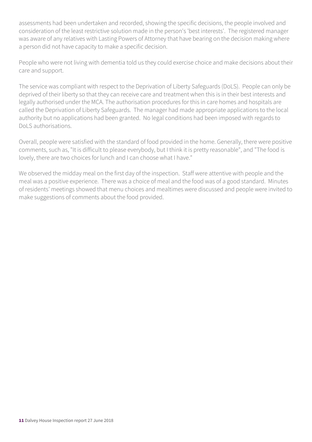assessments had been undertaken and recorded, showing the specific decisions, the people involved and consideration of the least restrictive solution made in the person's 'best interests'. The registered manager was aware of any relatives with Lasting Powers of Attorney that have bearing on the decision making where a person did not have capacity to make a specific decision.

People who were not living with dementia told us they could exercise choice and make decisions about their care and support.

The service was compliant with respect to the Deprivation of Liberty Safeguards (DoLS). People can only be deprived of their liberty so that they can receive care and treatment when this is in their best interests and legally authorised under the MCA. The authorisation procedures for this in care homes and hospitals are called the Deprivation of Liberty Safeguards. The manager had made appropriate applications to the local authority but no applications had been granted. No legal conditions had been imposed with regards to DoLS authorisations.

Overall, people were satisfied with the standard of food provided in the home. Generally, there were positive comments, such as, "It is difficult to please everybody, but I think it is pretty reasonable", and "The food is lovely, there are two choices for lunch and I can choose what I have."

We observed the midday meal on the first day of the inspection. Staff were attentive with people and the meal was a positive experience. There was a choice of meal and the food was of a good standard. Minutes of residents' meetings showed that menu choices and mealtimes were discussed and people were invited to make suggestions of comments about the food provided.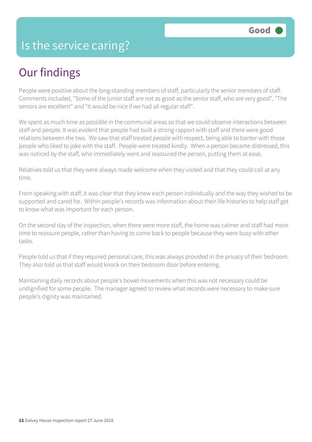### Is the service caring?

# Our findings

People were positive about the long-standing members of staff, particularly the senior members of staff. Comments included, "Some of the junior staff are not as good as the senior staff, who are very good", "The seniors are excellent" and "It would be nice if we had all regular staff".

We spent as much time as possible in the communal areas so that we could observe interactions between staff and people. It was evident that people had built a strong rapport with staff and there were good relations between the two. We saw that staff treated people with respect, being able to banter with those people who liked to joke with the staff. People were treated kindly. When a person became distressed, this was noticed by the staff, who immediately went and reassured the person, putting them at ease.

Relatives told us that they were always made welcome when they visited and that they could call at any time.

From speaking with staff, it was clear that they knew each person individually and the way they wished to be supported and cared for. Within people's records was information about their life histories to help staff get to know what was important for each person.

On the second day of the inspection, when there were more staff, the home was calmer and staff had more time to reassure people, rather than having to come back to people because they were busy with other tasks.

People told us that if they required personal care, this was always provided in the privacy of their bedroom. They also told us that staff would knock on their bedroom door before entering.

Maintaining daily records about people's bowel movements when this was not necessary could be undignified for some people. The manager agreed to review what records were necessary to make sure people's dignity was maintained.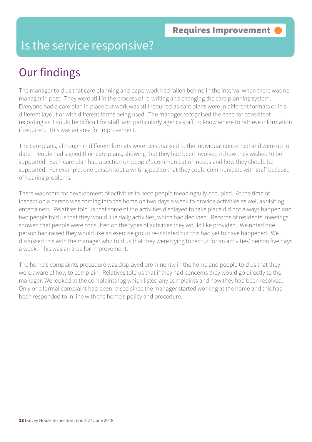#### Is the service responsive?

# Our findings

The manager told us that care planning and paperwork had fallen behind in the interval when there was no manager in post. They were still in the process of re-writing and changing the care planning system. Everyone had a care plan in place but work was still required as care plans were in different formats or in a different layout or with different forms being used. The manager recognised the need for consistent recording as it could be difficult for staff, and particularly agency staff, to know where to retrieve information if required. This was an area for improvement.

The care plans, although in different formats were personalised to the individual concerned and were up to date. People had signed their care plans, showing that they had been involved in how they wished to be supported. Each care plan had a section on people's communication needs and how they should be supported. For example, one person kept a writing pad so that they could communicate with staff because of hearing problems.

There was room for development of activities to keep people meaningfully occupied. At the time of inspection a person was coming into the home on two days a week to provide activities as well as visiting entertainers. Relatives told us that some of the activities displayed to take place did not always happen and two people told us that they would like daily activities, which had declined. Records of residents' meetings showed that people were consulted on the types of activities they would like provided. We noted one person had raised they would like an exercise group re-instated but this had yet to have happened. We discussed this with the manager who told us that they were trying to recruit for an activities' person five days a week. This was an area for improvement.

The home's complaints procedure was displayed prominently in the home and people told us that they were aware of how to complain. Relatives told us that if they had concerns they would go directly to the manager. We looked at the complaints log which listed any complaints and how they had been resolved. Only one formal complaint had been raised since the manager started working at the home and this had been responded to in line with the home's policy and procedure.